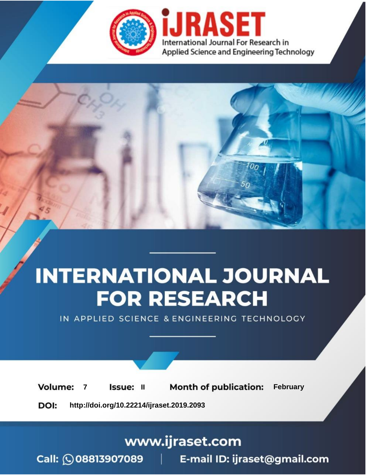

# **INTERNATIONAL JOURNAL FOR RESEARCH**

IN APPLIED SCIENCE & ENGINEERING TECHNOLOGY

**Month of publication: Volume: Issue: II February**  $\overline{7}$ 

DOI: http://doi.org/10.22214/ijraset.2019.2093

### www.ijraset.com

Call: 008813907089 | E-mail ID: ijraset@gmail.com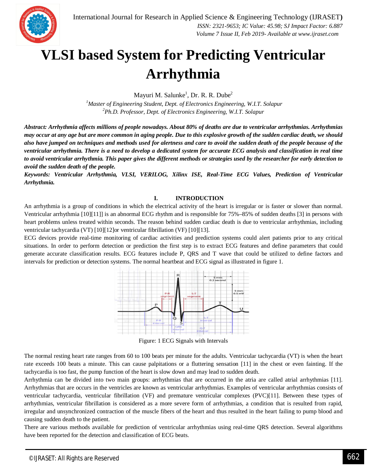

### **VLSI based System for Predicting Ventricular Arrhythmia**

Mayuri M. Salunke<sup>1</sup>, Dr. R. R. Dube<sup>2</sup>

*<sup>1</sup>Master of Engineering Student, Dept. of Electronics Engineering, W.I.T. Solapur <sup>2</sup>Ph.D. Professor, Dept. of Electronics Engineering, W.I.T. Solapur*

*Abstract: Arrhythmia affects millions of people nowadays. About 80% of deaths are due to ventricular arrhythmias. Arrhythmias may occur at any age but are more common in aging people. Due to this explosive growth of the sudden cardiac death, we should also have jumped on techniques and methods used for alertness and care to avoid the sudden death of the people because of the ventricular arrhythmia. There is a need to develop a dedicated system for accurate ECG analysis and classification in real time to avoid ventricular arrhythmia. This paper gives the different methods or strategies used by the researcher for early detection to avoid the sudden death of the people.*

*Keywords: Ventricular Arrhythmia, VLSI, VERILOG, Xilinx ISE, Real-Time ECG Values, Prediction of Ventricular Arrhythmia.*

#### **I. INTRODUCTION**

An arrhythmia is a group of conditions in which the electrical activity of the heart is irregular or is faster or slower than normal. Ventricular arrhythmia [10][11]] is an abnormal ECG rhythm and is responsible for 75%–85% of sudden deaths [3] in persons with heart problems unless treated within seconds. The reason behind sudden cardiac death is due to ventricular arrhythmias, including ventricular tachycardia (VT) [10][12]or ventricular fibrillation (VF) [10][13].

ECG devices provide real-time monitoring of cardiac activities and prediction systems could alert patients prior to any critical situations. In order to perform detection or prediction the first step is to extract ECG features and define parameters that could generate accurate classification results. ECG features include P, QRS and T wave that could be utilized to define factors and intervals for prediction or detection systems. The normal heartbeat and ECG signal as illustrated in figure 1.



Figure: 1 ECG Signals with Intervals

The normal resting heart rate ranges from 60 to 100 beats per minute for the adults. Ventricular tachycardia (VT) is when the heart rate exceeds 100 beats a minute. This can cause palpitations or a fluttering sensation [11] in the chest or even fainting. If the tachycardia is too fast, the pump function of the heart is slow down and may lead to sudden death.

Arrhythmia can be divided into two main groups: arrhythmias that are occurred in the atria are called atrial arrhythmias [11]. Arrhythmias that are occurs in the ventricles are known as ventricular arrhythmias. Examples of ventricular arrhythmias consists of ventricular tachycardia, ventricular fibrillation (VF) and premature ventricular complexes (PVC)[11]. Between these types of arrhythmias, ventricular fibrillation is considered as a more severe form of arrhythmias, a condition that is resulted from rapid, irregular and unsynchronized contraction of the muscle fibers of the heart and thus resulted in the heart failing to pump blood and causing sudden death to the patient.

There are various methods available for prediction of ventricular arrhythmias using real-time QRS detection. Several algorithms have been reported for the detection and classification of ECG beats.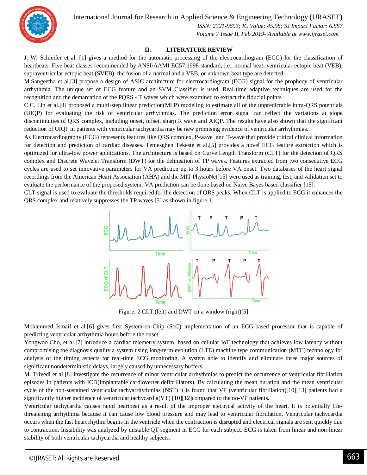International Journal for Research in Applied Science & Engineering Technology (IJRASET**)**



 *ISSN: 2321-9653; IC Value: 45.98; SJ Impact Factor: 6.887 Volume 7 Issue II, Feb 2019- Available at www.ijraset.com*

#### **II. LITERATURE REVIEW**

J. W. Schleifer et al. [1] gives a method for the automatic processing of the electrocardiogram (ECG) for the classification of heartbeats. Five beat classes recommended by ANSI/AAMI EC57:1998 standard, i.e., normal beat, ventricular ectopic beat (VEB), supraventricular ectopic beat (SVEB), the fusion of a normal and a VEB, or unknown beat type are detected.

M.Sangeetha et al.[3] propose a design of ASIC architecture for electrocardiogram (ECG) signal for the prophecy of ventricular arrhythmia. The unique set of ECG feature and an SVM Classifier is used. Real-time adaptive techniques are used for the recognition and the demarcation of the PQRS - T waves which were examined to extract the fiducial points.

C.C. Lin et al.[4] proposed a multi-step linear prediction(MLP) modeling to estimate all of the unpredictable intra-QRS potentials (UIQP) for evaluating the risk of ventricular arrhythmias. The prediction error signal can reflect the variations at slope discontinuities of QRS complex, including onset, offset, sharp R wave and AIQP. The results have also shown that the significant reduction of UIQP in patients with ventricular tachycardia may be new promising evidence of ventricular arrhythmias.

As Electrocardiography (ECG) represents features like QRS complex, P-wave and T-wave that provide critical clinical information for detection and prediction of cardiac diseases. Temesghen Tekeste et al.[5] provides a novel ECG feature extraction which is optimized for ultra-low power applications. The architecture is based on Curve Length Transform (CLT) for the detection of QRS complex and Discrete Wavelet Transform (DWT) for the delineation of TP waves. Features extracted from two consecutive ECG cycles are used to set innovative parameters for VA prediction up to 3 hours before VA onset. Two databases of the heart signal recordings from the American Heart Association (AHA) and the MIT PhysioNet[15] were used as training, test, and validation set to evaluate the performance of the proposed system. VA prediction can be done based on Naïve Bayes based classifier [15].

CLT signal is used to evaluate the thresholds required for the detection of QRS peaks. When CLT is applied to ECG it enhances the QRS complex and relatively suppresses the TP waves [5] as shown in figure 1.



Figure: 2 CLT (left) and DWT on a window (right)[5]

Mohammed Ismail et al.[6] gives first System-on-Chip (SoC) implementation of an ECG-based processor that is capable of predicting ventricular arrhythmia hours before the onset.

Yongwoo Cho, et al.[7] introduce a cardiac telemetry system, based on cellular IoT technology that achieves low latency without compromising the diagnosis quality a system using long-term evolution (LTE) machine type communication (MTC) technology for analysis of the timing aspects for real-time ECG monitoring. A system able to identify and eliminate three major sources of significant nondeterministic delays, largely caused by unnecessary buffers.

M. Trivedi et al.[8] investigate the recurrence of minor ventricular arrhythmias to predict the occurrence of ventricular fibrillation episodes in patients with ICD(Implantable cardioverter defibrillators). By calculating the mean duration and the mean ventricular cycle of the non-sustained ventricular tachyarrhythmias (NST) it is found that VF (ventricular fibrillation)[10][13] patients had a significantly higher incidence of ventricular tachycardia(VT) [10][12]compared to the no-VF patients.

Ventricular tachycardia causes rapid heartbeat as a result of the improper electrical activity of the heart. It is potentially lifethreatening arrhythmia because it can cause low blood pressure and may lead to ventricular fibrillation. Ventricular tachycardia occurs when the fast heart rhythm begins in the ventricle when the contraction is disrupted and electrical signals are sent quickly due to contraction. Instability was analyzed by unstable QT segment in ECG for each subject. ECG is taken from linear and non-linear stability of both ventricular tachycardia and healthy subjects.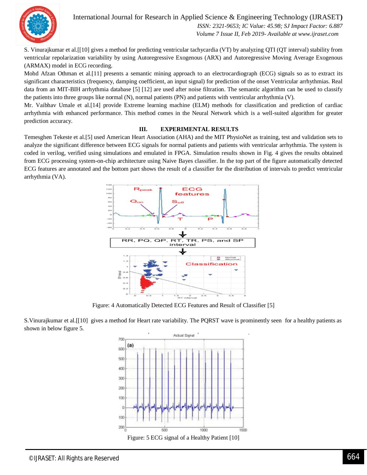

International Journal for Research in Applied Science & Engineering Technology (IJRASET**)**

 *ISSN: 2321-9653; IC Value: 45.98; SJ Impact Factor: 6.887 Volume 7 Issue II, Feb 2019- Available at www.ijraset.com*

S. Vinurajkumar et al.[[10] gives a method for predicting ventricular tachycardia (VT) by analyzing QTI (QT interval) stability from ventricular repolarization variability by using Autoregressive Exogenous (ARX) and Autoregressive Moving Average Exogenous (ARMAX) model in ECG recording.

Mohd Afzan Othman et al.[11] presents a semantic mining approach to an electrocardiograph (ECG) signals so as to extract its significant characteristics (frequency, damping coefficient, an input signal) for prediction of the onset Ventricular arrhythmias. Real data from an MIT-BIH arrhythmia database [5] [12] are used after noise filtration. The semantic algorithm can be used to classify the patients into three groups like normal (N), normal patients (PN) and patients with ventricular arrhythmia (V).

Mr. Vaibhav Umale et al.[14] provide Extreme learning machine (ELM) methods for classification and prediction of cardiac arrhythmia with enhanced performance. This method comes in the Neural Network which is a well-suited algorithm for greater prediction accuracy.

#### **III. EXPERIMENTAL RESULTS**

Temesghen Tekeste et al.[5] used American Heart Association (AHA) and the MIT PhysioNet as training, test and validation sets to analyze the significant difference between ECG signals for normal patients and patients with ventricular arrhythmia. The system is coded in verilog, verified using simulations and emulated in FPGA. Simulation results shown in Fig. 4 gives the results obtained from ECG processing system-on-chip architecture using Naive Bayes classifier. In the top part of the figure automatically detected ECG features are annotated and the bottom part shows the result of a classifier for the distribution of intervals to predict ventricular arrhythmia (VA).



Figure: 4 Automatically Detected ECG Features and Result of Classifier [5]

S.Vinurajkumar et al.[[10] gives a method for Heart rate variability. The PQRST wave is prominently seen for a healthy patients as shown in below figure 5.

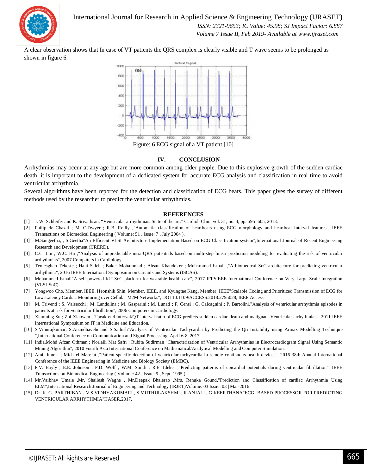

International Journal for Research in Applied Science & Engineering Technology (IJRASET**)**  *ISSN: 2321-9653; IC Value: 45.98; SJ Impact Factor: 6.887 Volume 7 Issue II, Feb 2019- Available at www.ijraset.com*

A clear observation shows that In case of VT patients the QRS complex is clearly visible and T wave seems to be prolonged as shown in figure 6.



#### **IV. CONCLUSION**

Arrhythmias may occur at any age but are more common among older people. Due to this explosive growth of the sudden cardiac death, it is important to the development of a dedicated system for accurate ECG analysis and classification in real time to avoid ventricular arrhythmia.

Several algorithms have been reported for the detection and classification of ECG beats. This paper gives the survey of different methods used by the researcher to predict the ventricular arrhythmias.

#### **REFERENCES**

- [1] J. W. Schleifer and K. Srivathsan, "Ventricular arrhythmias: State of the art," Cardiol. Clin., vol. 31, no. 4, pp. 595–605, 2013.
- [2] Philip de Chazal ; M. O'Dwyer ; R.B. Reilly ,"Automatic classification of heartbeats using ECG morphology and heartbeat interval features", IEEE Transactions on Biomedical Engineering ( Volume: 51 , Issue: 7 , July 2004 ).
- [3] M.Sangeetha, , S.Geetha"An Efficient VLSI Architecture Implementation Based on ECG Classification system",International Journal of Recent Engineering Research and Development (IJRERD).
- [4] C.C. Lin ; W.C. Hu ,"Analysis of unpredictable intra-QRS potentials based on multi-step linear prediction modeling for evaluating the risk of ventricular arrhythmias", 2007 Computers in Cardiology.
- [5] Temesghen Tekeste ; Hani Saleh ; Baker Mohammad ; Ahsan Khandoker ; Mohammed Ismail ,"A biomedical SoC architecture for predicting ventricular arrhythmia", 2016 IEEE International Symposium on Circuits and Systems (ISCAS).
- [6] Mohammed Ismail"A self-powered IoT SoC platform for wearable health care", 2017 IFIP/IEEE International Conference on Very Large Scale Integration (VLSI-SoC).
- [7] Yongwoo Cho, Member, IEEE, Heonshik Shin, Member, IEEE, and Kyungtae Kang, Member, IEEE"Scalable Coding and Prioritized Transmission of ECG for Low-Latency Cardiac Monitoring over Cellular M2M Networks", DOI 10.1109/ACCESS.2018.2795028, IEEE Access.
- [8] M. Triventi ; S. Valsecchi ; M. Landolina ; M. Gasparini ; M. Lunati ; F. Censi ; G. Calcagnini ; P. Bartolini,"Analysis of ventricular arrhythmia episodes in patients at risk for ventricular fibrillation", 2006 Computers in Cardiology.
- [9] Xianming Su ; Zhi Xiaowen ,"Tpeak-end interval/QT interval ratio of ECG predicts sudden cardiac death and malignant Ventricular arrhythmias", 2011 IEEE International Symposium on IT in Medicine and Education.
- [10] S.Vinurajkumar, S.Anandhavelu and S.Sathish"Analysis of Ventricular Tachycardia by Predicting the Qti Instability using Armax Modelling Technique ",International Conference on Communication and Signal Processing, April 6-8, 2017.
- [11] India.Mohd Afzan Othman ; Norlaili Mat Safri ; Rubita Sudirman "Characterization of Ventricular Arrhythmias in Electrocardiogram Signal Using Semantic Mining Algorithm", 2010 Fourth Asia International Conference on Mathematical/Analytical Modelling and Computer Simulation.
- [12] Amit Juneja ; Michael Marefat ,"Patient-specific detection of ventricular tachycardia in remote continuous health devices", 2016 38th Annual International Conference of the IEEE Engineering in Medicine and Biology Society (EMBC).
- [13] P.V. Bayly ; E.E. Johnson ; P.D. Wolf ; W.M. Smith ; R.E. Ideker ,"Predicting patterns of epicardial potentials during ventricular fibrillation", IEEE Transactions on Biomedical Engineering ( Volume: 42 , Issue: 9 , Sept. 1995 ).
- [14] Mr.Vaibhav Umale ,Mr. Shailesh Waghe , Mr.Deepak Bhalerao ,Mrs. Renuka Gound,"Prediction and Classification of cardiac Arrhythmia Using ELM",International Research Journal of Engineering and Technology (IRJET)Volume: 03 Issue: 03 | Mar-2016.
- [15] Dr. K. G. PARTHIBAN , V.S.VIDHYAKUMARI , S.MUTHULAKSHMI , R.ANJALI , G.KEERTHANA"ECG- BASED PROCESSOR FOR PREDICTING VENTRICULAR ARRHYTHMIA"IJASER,2017.